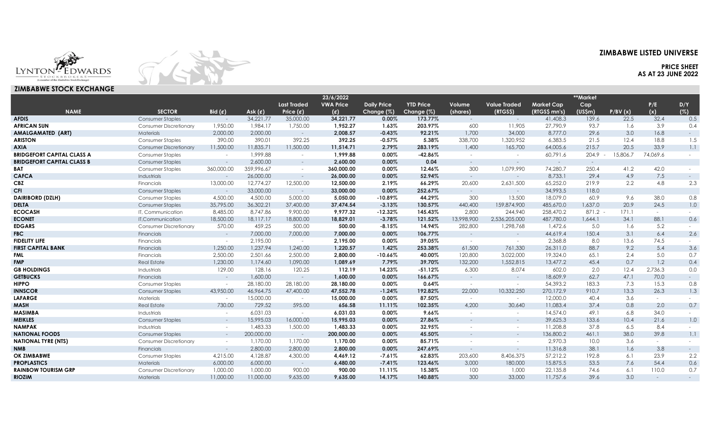# **ZIMBABWE LISTED UNIVERSE**

**PRICE SHEET AS AT 23 JUNE 2022**

LYNTON-EDWARDS



## **ZIMBABWE STOCK EXCHANGE**

|                                   |                               |                          |                      |                          | 23/6/2022        |                    |                  |                |                          |                   | **Market       |          |          |                  |
|-----------------------------------|-------------------------------|--------------------------|----------------------|--------------------------|------------------|--------------------|------------------|----------------|--------------------------|-------------------|----------------|----------|----------|------------------|
|                                   |                               |                          |                      | <b>Last Traded</b>       | <b>VWA Price</b> | <b>Daily Price</b> | <b>YTD Price</b> | Volume         | <b>Value Traded</b>      | <b>Market Cap</b> | Cap            |          | P/E      | D/Y              |
| <b>NAME</b>                       | <b>SECTOR</b>                 | Bid $(\mathfrak{C})$     | Ask $(\mathfrak{C})$ | Price $(e)$              | $(\epsilon)$     | Change (%)         | Change (%)       | (shares)       | (RTGS\$)                 | (RTGS\$ mn's)     | (USSm)         | P/BV(x)  | (x)      | (%)              |
| <b>AFDIS</b>                      | <b>Consumer Staples</b>       | $\sim$                   | 34,221.77            | 35,000.00                | 34,221.77        | 0.00%              | 173.77%          | $\sim$         | $\sim$                   | 41,408.3          | 139.6          | 22.5     | 32.4     | 0.5              |
| <b>AFRICAN SUN</b>                | <b>Consumer Discretionary</b> | 1,950.00                 | 1,984.17             | 1,750.00                 | 1,952.27         | 1.63%              | 203.97%          | 600            | 11,905                   | 27,790.9          | 93.7           | 1.6      | 3.9      | 0.4              |
| AMALGAMATED (ART)                 | Materials                     | 2,000.00                 | 2,000.00             | $\sim$                   | 2,008.57         | $-0.43%$           | 92.21%           | 1,700          | 34,000                   | 8,777.0           | 29.6           | 3.0      | 16.8     | $\sim 100$       |
| ARISTON                           | Consumer Staples              | 390.00                   | 390.01               | 392.25                   | 392.25           | $-0.57%$           | 5.38%            | 338,700        | 1,320,952                | 6,383.5           | 21.5           | 12.4     | 18.8     | 1.5              |
| AXIA                              | <b>Consumer Discretionary</b> | 11,500.00                | 11,835.71            | 11,500.00                | 11,514.71        | 2.79%              | 283.19%          | 1,400          | 165,700                  | 64,005.6          | 215.7          | 20.5     | 33.9     | 1.1              |
| <b>BRIDGEFORT CAPITAL CLASS A</b> | Consumer Staples              | $\sim$                   | 1,999.88             | $\overline{\phantom{a}}$ | 1,999.88         | 0.00%              | $-42.86%$        | $\sim$         | $\sim$                   | 60,791.6          | $204.9 -$      | 15,806.7 | 74,069.6 |                  |
| <b>BRIDGEFORT CAPITAL CLASS B</b> | <b>Consumer Staples</b>       | $\sim$ $-$               | 2,600.00             | $\sim$                   | 2,600.00         | 0.00%              | 0.04             | $\sim$         | $\sim$                   | $\sim$ $ \sim$    | $\sim$ $ \sim$ |          |          |                  |
| BAT                               | <b>Consumer Staples</b>       | 360,000.00               | 359,996.67           | $\overline{\phantom{a}}$ | 360,000.00       | 0.00%              | 12.46%           | 300            | 1,079,990                | 74,280.7          | 250.4          | 41.2     | 42.0     |                  |
| <b>CAFCA</b>                      | Industrials                   | $\sim$                   | 26,000.00            | $\sim$                   | 26,000.00        | 0.00%              | 52.94%           | $\sim$         | $\sim$                   | 8,733.1           | 29.4           | 4.9      | 7.5      | $\sim$           |
| CBZ                               | Financials                    | 13,000.00                | 12,774.27            | 12,500.00                | 12,500.00        | 2.19%              | 66.29%           | 20,600         | 2,631,500                | 65,252.0          | 219.9          | 2.2      | 4.8      | 2.3              |
| CFI                               | <b>Consumer Staples</b>       | $\sim$                   | 33,000.00            | $\sim$                   | 33,000.00        | 0.00%              | 252.67%          | $\sim$         | $\sim$                   | 34,993.5          | 118.0          |          |          |                  |
| <b>DAIRIBORD (DZLH)</b>           | Consumer Staples              | 4,500.00                 | 4,500.00             | 5,000.00                 | 5,050.00         | $-10.89%$          | 44.29%           | 300            | 13,500                   | 18,079.0          | 60.9           | 9.6      | 38.0     | 0.8              |
| DELTA                             | <b>Consumer Staples</b>       | 35,795.00                | 36,302.21            | 37,400.00                | 37,474.54        | $-3.13%$           | 130.57%          | 440,400        | 159,874,900              | 485,670.0         | 1,637.0        | 20.9     | 24.5     | 1.0              |
| ECOCASH                           | IT. Communication             | 8,485,00                 | 8.747.86             | 9,900.00                 | 9.977.32         | $-12.32%$          | 145.43%          | 2,800          | 244,940                  | 258,470.2         | $871.2 -$      | 171.1    | $\sim$   |                  |
| <b>ECONET</b>                     | IT, Communication             | 18,500.00                | 18,117.17            | 18,800.00                | 18,829.01        | $-3.78%$           | 121.52%          | 13,998,900     | 2,536,205,000            | 487,780.0         | 1,644.1        | 34.1     | 88.1     | 0.6              |
| <b>EDGARS</b>                     | <b>Consumer Discretionary</b> | 570.00                   | 459.25               | 500.00                   | 500.00           | $-8.15%$           | 14.94%           | 282,800        | 1,298,768                | 1,472.6           | 5.0            | 1.6      | 5.2      | $\sim$           |
| <b>FBC</b>                        | Financials                    | $\sim$                   | 7,000.00             | 7,000.00                 | 7,000.00         | 0.00%              | 106.77%          |                | $\sim$                   | 44,619.4          | 150.4          | 3.1      | 6.4      | 2.6              |
| <b>FIDELITY LIFE</b>              | Financials                    | $\sim$                   | 2,195.00             | $\sim$                   | 2,195.00         | 0.00%              | 39.05%           | $\sim$         | $\sim$                   | 2,368.8           | 8.0            | 13.6     | 74.5     | $ \,$            |
| FIRST CAPITAL BANK                | Financials                    | 1,250.00                 | 1,237.94             | 1,240.00                 | 1.220.57         | 1.42%              | 253.38%          | 61,500         | 761,330                  | 26,311.0          | 88.7           | 9.2      | 5.4      | 3.6              |
| FML                               | Financials                    | 2,500.00                 | 2,501.66             | 2,500.00                 | 2,800.00         | $-10.66%$          | 40.00%           | 120,800        | 3,022,000                | 19,324.0          | 65.1           | 2.4      | 5.0      | 0.7              |
| FMP.                              | <b>Real Estate</b>            | 1,230.00                 | 1,174.60             | 1,090.00                 | 1,089.69         | 7.79%              | 39.70%           | 132,200        | 1,552,815                | 13,477.2          | 45.4           | 0.7      | 1.2      | 0.4              |
| <b>GB HOLDINGS</b>                | Industrials                   | 129.00                   | 128.16               | 120.25                   | 112.19           | 14.23%             | $-51.12%$        | 6,300          | 8,074                    | 602.0             | 2.0            | 12.4     | 2,736.3  | 0.0              |
| <b>GETBUCKS</b>                   | Financials                    | $\sim$ $ \sim$           | 1,600.00             | $\sim$                   | 1,600.00         | 0.00%              | 166.67%          | $\sim$         | $\sim$ $-$               | 18,609.9          | 62.7           | 47.1     | 70.0     | $ -$             |
| HIPPO                             | <b>Consumer Staples</b>       | $\sim$                   | 28,180.00            | 28,180.00                | 28.180.00        | $0.00\%$           | 0.64%            | $\sim$         | $\sim$                   | 54,393.2          | 183.3          | 7.3      | 15.3     | 0.8              |
| <b>INNSCOR</b>                    | <b>Consumer Staples</b>       | 43,950.00                | 46,964.75            | 47,400.00                | 47,552.78        | $-1.24%$           | 192.82%          | 22,000         | 10,332,250               | 270,172.9         | 910.7          | 13.3     | 26.3     | 1.3              |
| <b>LAFARGE</b>                    | Materials                     | $\sim$                   | 15,000.00            | $\sim$ $-$               | 15,000.00        | 0.00%              | 87.50%           | $\sim$         | $\sim$                   | 12,000.0          | 40.4           | 3.6      | $\sim$   | $\sim$           |
| MASH                              | <b>Real Estate</b>            | 730.00                   | 729.52               | 595.00                   | 656.58           | 11.11%             | 102.35%          | 4,200          | 30,640                   | 11.083.4          | 37.4           | 0.8      | 2.0      | 0.7              |
| MASIMBA                           | Industrials                   | $\sim$                   | 6.031.03             | $\sim$                   | 6,031.03         | 0.00%              | 9.66%            | $\sim$         | $\sim$                   | 14,574.0          | 49.1           | 6.8      | 34.0     | $\sim$ 100 $\mu$ |
| MEIKLES                           | <b>Consumer Staples</b>       | $\sim$                   | 15,995.03            | 16,000,00                | 15,995.03        | 0.00%              | 27.86%           |                | $\sim$                   | 39,625.3          | 133.6          | 10.4     | 21.6     | 1.0              |
| <b>NAMPAK</b>                     | Industrials                   | $\sim$                   | 1,483.33             | 1,500.00                 | 1,483.33         | 0.00%              | 32.95%           |                | $\overline{\phantom{a}}$ | 11,208.8          | 37.8           | 6.5      | 8.4      | $\sim$ 100 $\mu$ |
| <b>NATIONAL FOODS</b>             | Consumer Staples              | $\sim$                   | 200,000.00           | $\sim$                   | 200,000.00       | 0.00%              | 45.50%           | $\sim$ 10 $\,$ | $\sim$                   | 136,800.2         | 461.1          | 38.0     | 39.8     | 1.1              |
| <b>NATIONAL TYRE (NTS)</b>        | <b>Consumer Discretionary</b> | $\overline{\phantom{a}}$ | 1,170.00             | 1,170.00                 | 1,170.00         | 0.00%              | 85.71%           |                |                          | 2,970.3           | 10.0           | 3.6      | $\sim$   | $\sim$           |
| NMB                               | Financials                    | $\sim$                   | 2,800.00             | 2,800.00                 | 2,800.00         | 0.00%              | 247.69%          |                | $\sim$                   | 11,316.8          | 38.1           | 1.6      | 3.8      | $\sim 100$       |
| <b>OK ZIMBABWE</b>                | <b>Consumer Staples</b>       | 4,215.00                 | 4,128.87             | 4,300.00                 | 4.469.12         | $-7.61%$           | 62.83%           | 203,600        | 8,406,375                | 57,212.2          | 192.8          | 6.1      | 23.9     | 2.2              |
| <b>PROPLASTICS</b>                | Materials                     | 6,000.00                 | 6,000.00             | $\sim$                   | 6,480.00         | $-7.41%$           | 123.46%          | 3,000          | 180,000                  | 15,875.5          | 53.5           | 7.6      | 54.4     | 0.6              |
| <b>RAINBOW TOURISM GRP</b>        | Consumer Discretionary        | 1,000.00                 | 1,000.00             | 900.00                   | 900.00           | 11.11%             | 15.38%           | 100            | 1,000                    | 22,135.8          | 74.6           | 6.1      | 110.0    | 0.7              |

**RIOZIM** Materials 11,000.00 11,000.00 9,635.00 **9,635.00 14.17% 140.88%** 300 33,000 11,757.6 39.6 3.0 - -